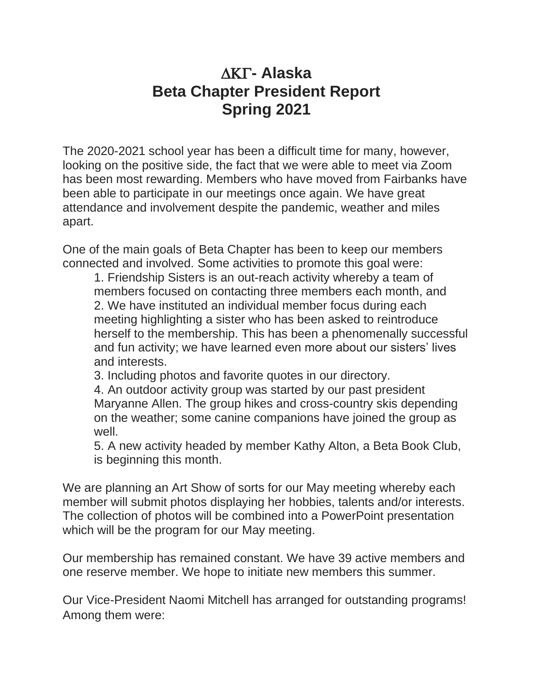## **- Alaska Beta Chapter President Report Spring 2021**

The 2020-2021 school year has been a difficult time for many, however, looking on the positive side, the fact that we were able to meet via Zoom has been most rewarding. Members who have moved from Fairbanks have been able to participate in our meetings once again. We have great attendance and involvement despite the pandemic, weather and miles apart.

One of the main goals of Beta Chapter has been to keep our members connected and involved. Some activities to promote this goal were:

1. Friendship Sisters is an out-reach activity whereby a team of members focused on contacting three members each month, and 2. We have instituted an individual member focus during each meeting highlighting a sister who has been asked to reintroduce herself to the membership. This has been a phenomenally successful and fun activity; we have learned even more about our sisters' lives and interests.

3. Including photos and favorite quotes in our directory.

4. An outdoor activity group was started by our past president Maryanne Allen. The group hikes and cross-country skis depending on the weather; some canine companions have joined the group as well.

5. A new activity headed by member Kathy Alton, a Beta Book Club, is beginning this month.

We are planning an Art Show of sorts for our May meeting whereby each member will submit photos displaying her hobbies, talents and/or interests. The collection of photos will be combined into a PowerPoint presentation which will be the program for our May meeting.

Our membership has remained constant. We have 39 active members and one reserve member. We hope to initiate new members this summer.

Our Vice-President Naomi Mitchell has arranged for outstanding programs! Among them were: